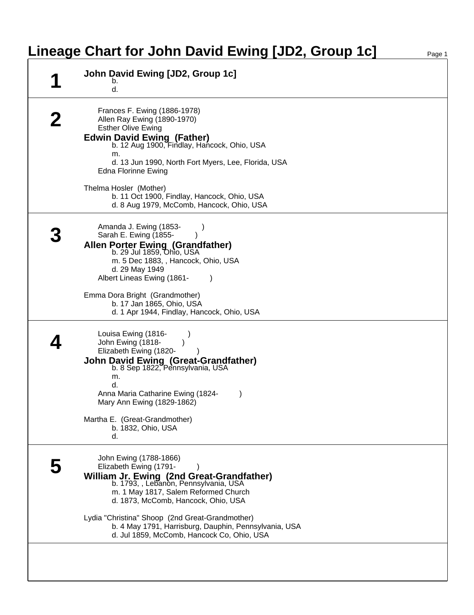## **Lineage Chart for John David Ewing [JD2, Group 1c]**

| John David Ewing [JD2, Group 1c]<br>b.<br>d.                                                                                                                                                                                                                            |
|-------------------------------------------------------------------------------------------------------------------------------------------------------------------------------------------------------------------------------------------------------------------------|
| Frances F. Ewing (1886-1978)<br>Allen Ray Ewing (1890-1970)<br><b>Esther Olive Ewing</b><br><b>Edwin David Ewing (Father)</b><br>b. 12 Aug 1900, Findlay, Hancock, Ohio, USA<br>m.<br>d. 13 Jun 1990, North Fort Myers, Lee, Florida, USA<br><b>Edna Florinne Ewing</b> |
| Thelma Hosler (Mother)<br>b. 11 Oct 1900, Findlay, Hancock, Ohio, USA<br>d. 8 Aug 1979, McComb, Hancock, Ohio, USA                                                                                                                                                      |
| Amanda J. Ewing (1853-<br>Sarah E. Ewing (1855-<br>Allen Porter Ewing (Grandfather)<br>b. 29 Jul 1859, Ohio, USA<br>m. 5 Dec 1883, , Hancock, Ohio, USA<br>d. 29 May 1949<br>Albert Lineas Ewing (1861-                                                                 |
| Emma Dora Bright (Grandmother)<br>b. 17 Jan 1865, Ohio, USA<br>d. 1 Apr 1944, Findlay, Hancock, Ohio, USA                                                                                                                                                               |
| Louisa Ewing (1816-<br>John Ewing (1818-<br>Elizabeth Ewing (1820-<br><b>John David Ewing (Great-Grandfather)</b><br>b. 8 Sep 1822, Pennsylvania, USA<br>m.<br>d.<br>Anna Maria Catharine Ewing (1824-<br>Mary Ann Ewing (1829-1862)                                    |
| Martha E. (Great-Grandmother)<br>b. 1832, Ohio, USA<br>d.                                                                                                                                                                                                               |
| John Ewing (1788-1866)<br>Elizabeth Ewing (1791-<br>William Jr. Ewing (2nd Great-Grandfather)<br>b. 1793, , Lebanon, Pennsylvania, USA<br>m. 1 May 1817, Salem Reformed Church<br>d. 1873, McComb, Hancock, Ohio, USA                                                   |
| Lydia "Christina" Shoop (2nd Great-Grandmother)<br>b. 4 May 1791, Harrisburg, Dauphin, Pennsylvania, USA<br>d. Jul 1859, McComb, Hancock Co, Ohio, USA                                                                                                                  |